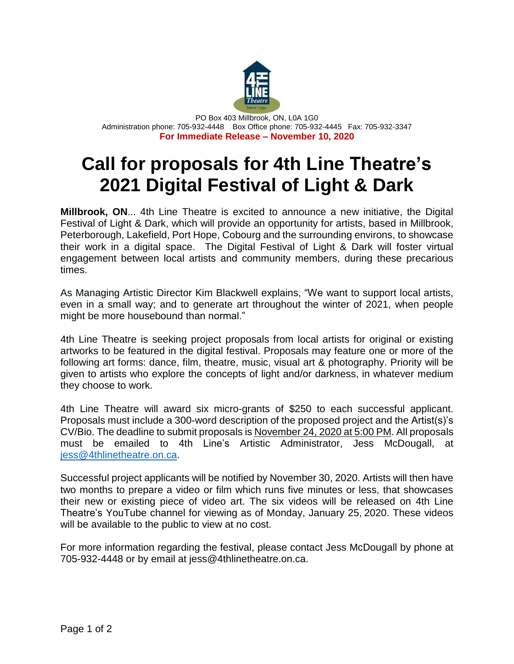

PO Box 403 Millbrook, ON, L0A 1G0 Administration phone: 705-932-4448 Box Office phone: 705-932-4445 Fax: 705-932-3347 **For Immediate Release – November 10, 2020**

## **Call for proposals for 4th Line Theatre's 2021 Digital Festival of Light & Dark**

**Millbrook, ON**... 4th Line Theatre is excited to announce a new initiative, the Digital Festival of Light & Dark, which will provide an opportunity for artists, based in Millbrook, Peterborough, Lakefield, Port Hope, Cobourg and the surrounding environs, to showcase their work in a digital space. The Digital Festival of Light & Dark will foster virtual engagement between local artists and community members, during these precarious times.

As Managing Artistic Director Kim Blackwell explains, "We want to support local artists, even in a small way; and to generate art throughout the winter of 2021, when people might be more housebound than normal."

4th Line Theatre is seeking project proposals from local artists for original or existing artworks to be featured in the digital festival. Proposals may feature one or more of the following art forms: dance, film, theatre, music, visual art & photography. Priority will be given to artists who explore the concepts of light and/or darkness, in whatever medium they choose to work.

4th Line Theatre will award six micro-grants of \$250 to each successful applicant. Proposals must include a 300-word description of the proposed project and the Artist(s)'s CV/Bio. The deadline to submit proposals is November 24, 2020 at 5:00 PM. All proposals must be emailed to 4th Line's Artistic Administrator, Jess McDougall, at [jess@4thlinetheatre.on.ca.](mailto:jess@4thlinetheatre.on.ca)

Successful project applicants will be notified by November 30, 2020. Artists will then have two months to prepare a video or film which runs five minutes or less, that showcases their new or existing piece of video art. The six videos will be released on 4th Line Theatre's YouTube channel for viewing as of Monday, January 25, 2020. These videos will be available to the public to view at no cost.

For more information regarding the festival, please contact Jess McDougall by phone at 705-932-4448 or by email at jess@4thlinetheatre.on.ca.